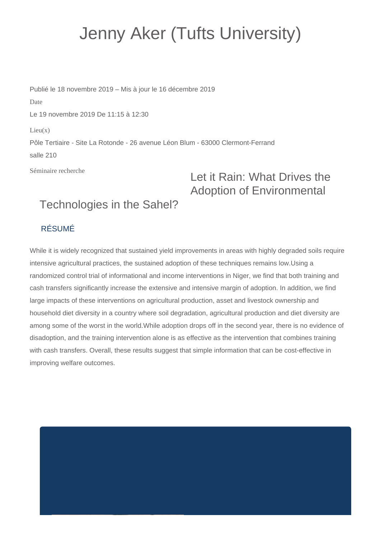## Jenny Aker (Tufts University)

Publié le 18 novembre 2019 – Mis à jour le 16 décembre 2019 Date Le 19 novembre 2019 De 11:15 à 12:30  $Lieu(x)$ Pôle Tertiaire - Site La Rotonde - 26 avenue Léon Blum - 63000 Clermont-Ferrand salle 210

Séminaire recherche

## Let it Rain: What Drives the Adoption of Environmental

## Technologies in the Sahel?

## RÉSUMÉ

While it is widely recognized that sustained yield improvements in areas with highly degraded soils require intensive agricultural practices, the sustained adoption of these techniques remains low.Using a randomized control trial of informational and income interventions in Niger, we find that both training and cash transfers significantly increase the extensive and intensive margin of adoption. In addition, we find large impacts of these interventions on agricultural production, asset and livestock ownership and household diet diversity in a country where soil degradation, agricultural production and diet diversity are among some of the worst in the world.While adoption drops off in the second year, there is no evidence of disadoption, and the training intervention alone is as effective as the intervention that combines training with cash transfers. Overall, these results suggest that simple information that can be cost-effective in improving welfare outcomes.